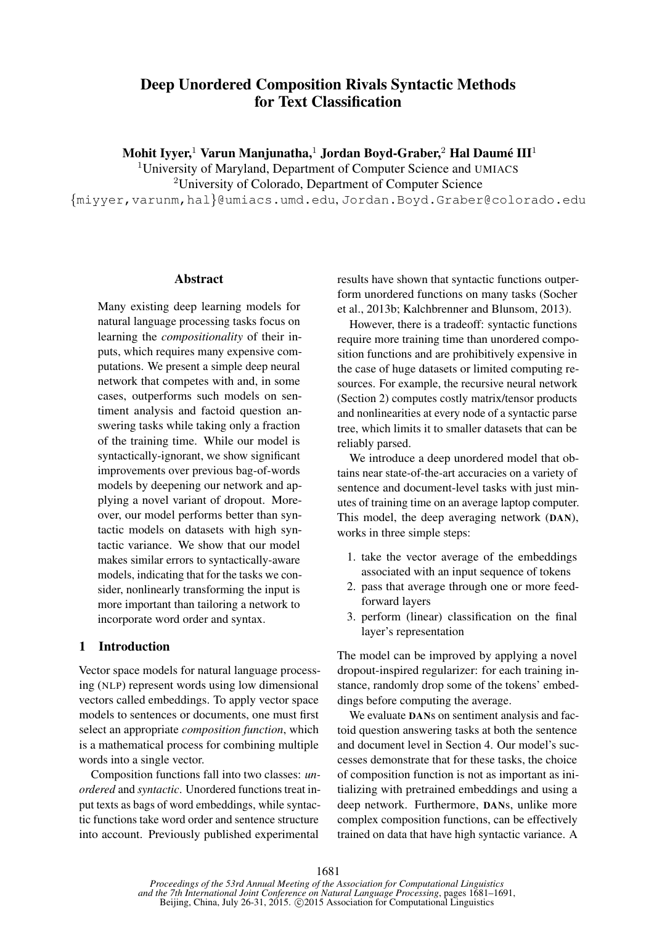# Deep Unordered Composition Rivals Syntactic Methods for Text Classification

Mohit Iyyer, $^1$  Varun Manjunatha, $^1$  Jordan Boyd-Graber, $^2$  Hal Daumé III $^1$ 

<sup>1</sup>University of Maryland, Department of Computer Science and UMIACS

<sup>2</sup>University of Colorado, Department of Computer Science

{miyyer,varunm,hal}@umiacs.umd.edu, Jordan.Boyd.Graber@colorado.edu

#### **Abstract**

Many existing deep learning models for natural language processing tasks focus on learning the *compositionality* of their inputs, which requires many expensive computations. We present a simple deep neural network that competes with and, in some cases, outperforms such models on sentiment analysis and factoid question answering tasks while taking only a fraction of the training time. While our model is syntactically-ignorant, we show significant improvements over previous bag-of-words models by deepening our network and applying a novel variant of dropout. Moreover, our model performs better than syntactic models on datasets with high syntactic variance. We show that our model makes similar errors to syntactically-aware models, indicating that for the tasks we consider, nonlinearly transforming the input is more important than tailoring a network to incorporate word order and syntax.

## 1 Introduction

Vector space models for natural language processing (NLP) represent words using low dimensional vectors called embeddings. To apply vector space models to sentences or documents, one must first select an appropriate *composition function*, which is a mathematical process for combining multiple words into a single vector.

Composition functions fall into two classes: *unordered* and *syntactic*. Unordered functions treat input texts as bags of word embeddings, while syntactic functions take word order and sentence structure into account. Previously published experimental

results have shown that syntactic functions outperform unordered functions on many tasks (Socher et al., 2013b; Kalchbrenner and Blunsom, 2013).

However, there is a tradeoff: syntactic functions require more training time than unordered composition functions and are prohibitively expensive in the case of huge datasets or limited computing resources. For example, the recursive neural network (Section 2) computes costly matrix/tensor products and nonlinearities at every node of a syntactic parse tree, which limits it to smaller datasets that can be reliably parsed.

We introduce a deep unordered model that obtains near state-of-the-art accuracies on a variety of sentence and document-level tasks with just minutes of training time on an average laptop computer. This model, the deep averaging network (DAN), works in three simple steps:

- 1. take the vector average of the embeddings associated with an input sequence of tokens
- 2. pass that average through one or more feedforward layers
- 3. perform (linear) classification on the final layer's representation

The model can be improved by applying a novel dropout-inspired regularizer: for each training instance, randomly drop some of the tokens' embeddings before computing the average.

We evaluate DANs on sentiment analysis and factoid question answering tasks at both the sentence and document level in Section 4. Our model's successes demonstrate that for these tasks, the choice of composition function is not as important as initializing with pretrained embeddings and using a deep network. Furthermore, DANs, unlike more complex composition functions, can be effectively trained on data that have high syntactic variance. A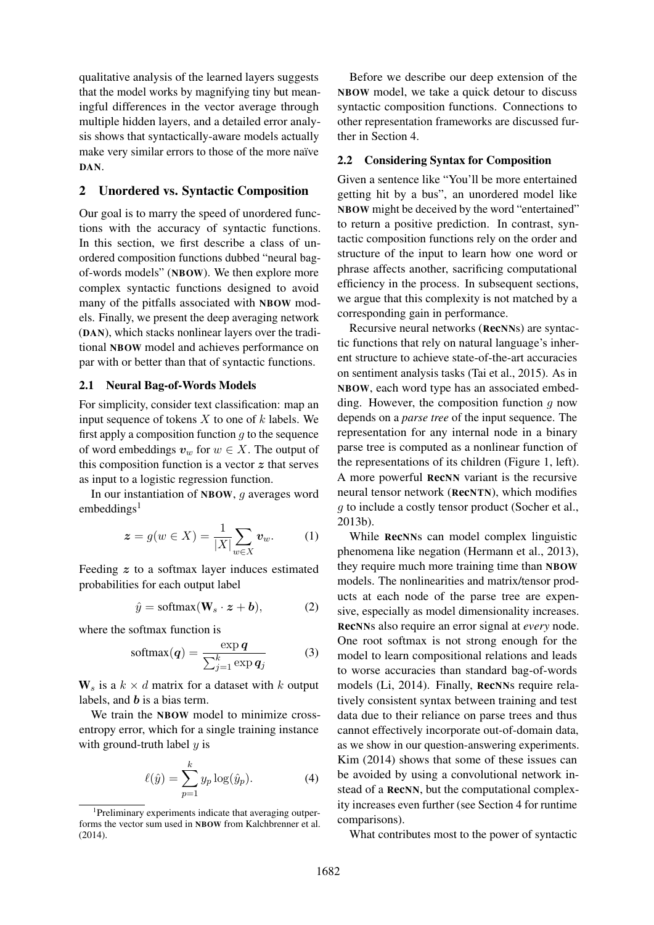qualitative analysis of the learned layers suggests that the model works by magnifying tiny but meaningful differences in the vector average through multiple hidden layers, and a detailed error analysis shows that syntactically-aware models actually make very similar errors to those of the more naïve DAN.

#### 2 Unordered vs. Syntactic Composition

Our goal is to marry the speed of unordered functions with the accuracy of syntactic functions. In this section, we first describe a class of unordered composition functions dubbed "neural bagof-words models" (NBOW). We then explore more complex syntactic functions designed to avoid many of the pitfalls associated with NBOW models. Finally, we present the deep averaging network (DAN), which stacks nonlinear layers over the traditional NBOW model and achieves performance on par with or better than that of syntactic functions.

### 2.1 Neural Bag-of-Words Models

For simplicity, consider text classification: map an input sequence of tokens  $X$  to one of  $k$  labels. We first apply a composition function  $q$  to the sequence of word embeddings  $v_w$  for  $w \in X$ . The output of this composition function is a vector  $z$  that serves as input to a logistic regression function.

In our instantiation of NBOW, g averages word embeddings $<sup>1</sup>$ </sup>

$$
\boldsymbol{z} = g(w \in X) = \frac{1}{|X|} \sum_{w \in X} \boldsymbol{v}_w. \qquad (1)
$$

Feeding  $z$  to a softmax layer induces estimated probabilities for each output label

$$
\hat{y} = \text{softmax}(\mathbf{W}_s \cdot \mathbf{z} + \mathbf{b}),\tag{2}
$$

where the softmax function is

$$
softmax(\boldsymbol{q}) = \frac{\exp \boldsymbol{q}}{\sum_{j=1}^{k} \exp \boldsymbol{q}_j}
$$
(3)

 $W_s$  is a  $k \times d$  matrix for a dataset with k output labels, and  **is a bias term.** 

We train the NBOW model to minimize crossentropy error, which for a single training instance with ground-truth label  $y$  is

$$
\ell(\hat{y}) = \sum_{p=1}^{k} y_p \log(\hat{y}_p).
$$
 (4)

Before we describe our deep extension of the NBOW model, we take a quick detour to discuss syntactic composition functions. Connections to other representation frameworks are discussed further in Section 4.

#### 2.2 Considering Syntax for Composition

Given a sentence like "You'll be more entertained getting hit by a bus", an unordered model like NBOW might be deceived by the word "entertained" to return a positive prediction. In contrast, syntactic composition functions rely on the order and structure of the input to learn how one word or phrase affects another, sacrificing computational efficiency in the process. In subsequent sections, we argue that this complexity is not matched by a corresponding gain in performance.

Recursive neural networks (RecNNs) are syntactic functions that rely on natural language's inherent structure to achieve state-of-the-art accuracies on sentiment analysis tasks (Tai et al., 2015). As in NBOW, each word type has an associated embedding. However, the composition function  $q$  now depends on a *parse tree* of the input sequence. The representation for any internal node in a binary parse tree is computed as a nonlinear function of the representations of its children (Figure 1, left). A more powerful RecNN variant is the recursive neural tensor network (RecNTN), which modifies g to include a costly tensor product (Socher et al., 2013b).

While RecNNs can model complex linguistic phenomena like negation (Hermann et al., 2013), they require much more training time than NBOW models. The nonlinearities and matrix/tensor products at each node of the parse tree are expensive, especially as model dimensionality increases. RecNNs also require an error signal at *every* node. One root softmax is not strong enough for the model to learn compositional relations and leads to worse accuracies than standard bag-of-words models (Li, 2014). Finally, RecNNs require relatively consistent syntax between training and test data due to their reliance on parse trees and thus cannot effectively incorporate out-of-domain data, as we show in our question-answering experiments. Kim (2014) shows that some of these issues can be avoided by using a convolutional network instead of a RecNN, but the computational complexity increases even further (see Section 4 for runtime comparisons).

What contributes most to the power of syntactic

<sup>&</sup>lt;sup>1</sup>Preliminary experiments indicate that averaging outperforms the vector sum used in NBOW from Kalchbrenner et al. (2014).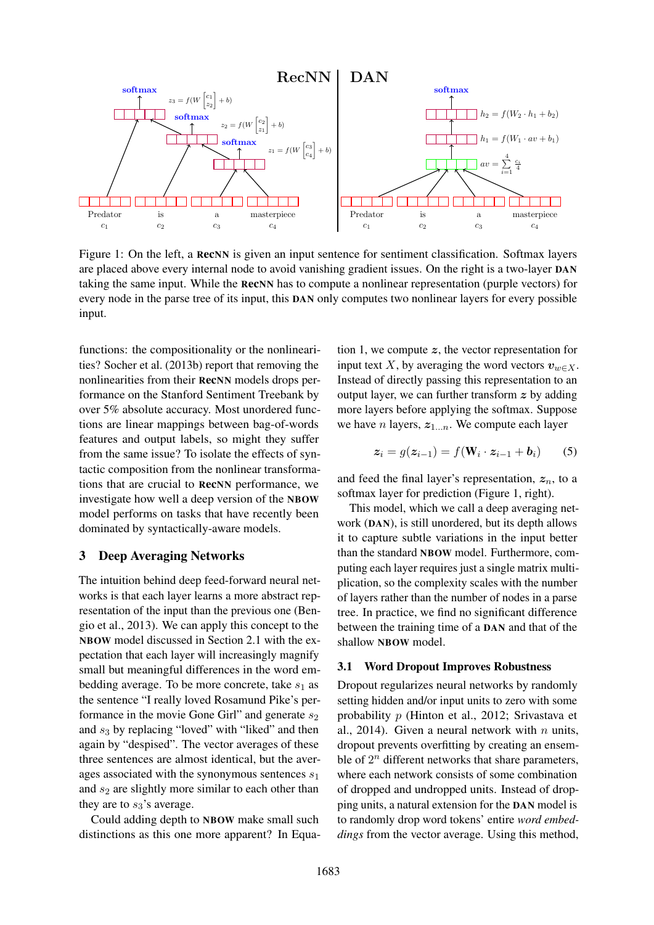

Figure 1: On the left, a RecNN is given an input sentence for sentiment classification. Softmax layers are placed above every internal node to avoid vanishing gradient issues. On the right is a two-layer DAN taking the same input. While the RecNN has to compute a nonlinear representation (purple vectors) for every node in the parse tree of its input, this DAN only computes two nonlinear layers for every possible input.

functions: the compositionality or the nonlinearities? Socher et al. (2013b) report that removing the nonlinearities from their RecNN models drops performance on the Stanford Sentiment Treebank by over 5% absolute accuracy. Most unordered functions are linear mappings between bag-of-words features and output labels, so might they suffer from the same issue? To isolate the effects of syntactic composition from the nonlinear transformations that are crucial to RecNN performance, we investigate how well a deep version of the NBOW model performs on tasks that have recently been dominated by syntactically-aware models.

### 3 Deep Averaging Networks

The intuition behind deep feed-forward neural networks is that each layer learns a more abstract representation of the input than the previous one (Bengio et al., 2013). We can apply this concept to the NBOW model discussed in Section 2.1 with the expectation that each layer will increasingly magnify small but meaningful differences in the word embedding average. To be more concrete, take  $s_1$  as the sentence "I really loved Rosamund Pike's performance in the movie Gone Girl" and generate  $s_2$ and  $s_3$  by replacing "loved" with "liked" and then again by "despised". The vector averages of these three sentences are almost identical, but the averages associated with the synonymous sentences  $s_1$ and  $s_2$  are slightly more similar to each other than they are to  $s_3$ 's average.

Could adding depth to NBOW make small such distinctions as this one more apparent? In Equation 1, we compute  $z$ , the vector representation for input text X, by averaging the word vectors  $v_{w \in X}$ . Instead of directly passing this representation to an output layer, we can further transform  $z$  by adding more layers before applying the softmax. Suppose we have n layers,  $z_{1...n}$ . We compute each layer

$$
\boldsymbol{z}_i = g(\boldsymbol{z}_{i-1}) = f(\mathbf{W}_i \cdot \boldsymbol{z}_{i-1} + \boldsymbol{b}_i) \qquad (5)
$$

and feed the final layer's representation,  $z_n$ , to a softmax layer for prediction (Figure 1, right).

This model, which we call a deep averaging network (DAN), is still unordered, but its depth allows it to capture subtle variations in the input better than the standard NBOW model. Furthermore, computing each layer requires just a single matrix multiplication, so the complexity scales with the number of layers rather than the number of nodes in a parse tree. In practice, we find no significant difference between the training time of a DAN and that of the shallow NBOW model.

### 3.1 Word Dropout Improves Robustness

Dropout regularizes neural networks by randomly setting hidden and/or input units to zero with some probability p (Hinton et al., 2012; Srivastava et al., 2014). Given a neural network with  $n$  units, dropout prevents overfitting by creating an ensemble of  $2^n$  different networks that share parameters, where each network consists of some combination of dropped and undropped units. Instead of dropping units, a natural extension for the DAN model is to randomly drop word tokens' entire *word embeddings* from the vector average. Using this method,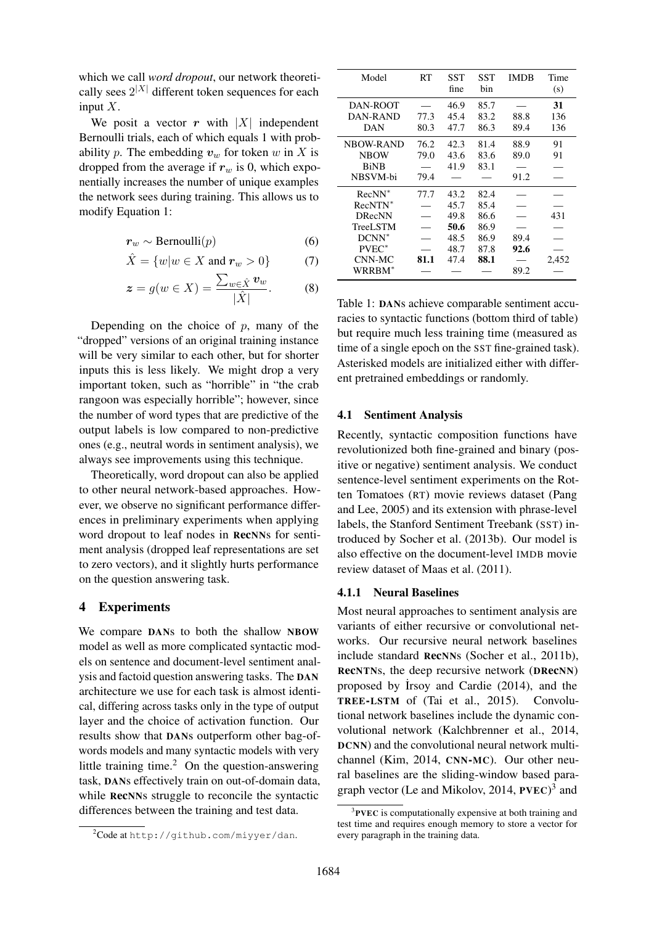which we call *word dropout*, our network theoretically sees  $2^{|X|}$  different token sequences for each input  $X$ .

We posit a vector r with  $|X|$  independent Bernoulli trials, each of which equals 1 with probability p. The embedding  $v_w$  for token w in X is dropped from the average if  $r_w$  is 0, which exponentially increases the number of unique examples the network sees during training. This allows us to modify Equation 1:

$$
r_w \sim \text{Bernoulli}(p) \tag{6}
$$

$$
\hat{X} = \{w|w \in X \text{ and } \mathbf{r}_w > 0\} \tag{7}
$$

$$
\boldsymbol{z} = g(w \in X) = \frac{\sum_{w \in \hat{X}} \boldsymbol{v}_w}{|\hat{X}|}.
$$
 (8)

Depending on the choice of  $p$ , many of the "dropped" versions of an original training instance will be very similar to each other, but for shorter inputs this is less likely. We might drop a very important token, such as "horrible" in "the crab rangoon was especially horrible"; however, since the number of word types that are predictive of the output labels is low compared to non-predictive ones (e.g., neutral words in sentiment analysis), we always see improvements using this technique.

Theoretically, word dropout can also be applied to other neural network-based approaches. However, we observe no significant performance differences in preliminary experiments when applying word dropout to leaf nodes in RecNNs for sentiment analysis (dropped leaf representations are set to zero vectors), and it slightly hurts performance on the question answering task.

### 4 Experiments

We compare DANs to both the shallow NBOW model as well as more complicated syntactic models on sentence and document-level sentiment analysis and factoid question answering tasks. The DAN architecture we use for each task is almost identical, differing across tasks only in the type of output layer and the choice of activation function. Our results show that DANs outperform other bag-ofwords models and many syntactic models with very little training time. $^{2}$  On the question-answering task, DANs effectively train on out-of-domain data, while RecNNs struggle to reconcile the syntactic differences between the training and test data.

| Model            | RT   | SST<br>fine | SST<br>bin | <b>IMDB</b> | Time<br>(s) |
|------------------|------|-------------|------------|-------------|-------------|
| DAN-ROOT         |      | 46.9        | 85.7       |             | 31          |
| DAN-RAND         | 77.3 | 45.4        | 83.2       | 88.8        | 136         |
| <b>DAN</b>       | 80.3 | 47.7        | 86.3       | 89.4        | 136         |
| <b>NBOW-RAND</b> | 76.2 | 42.3        | 81.4       | 88.9        | 91          |
| <b>NBOW</b>      | 79.0 | 43.6        | 83.6       | 89.0        | 91          |
| <b>BiNB</b>      |      | 41.9        | 83.1       |             |             |
| NBSVM-bi         | 79.4 |             |            | 91.2        |             |
| $RecNN^*$        | 77.7 | 43.2        | 82.4       |             |             |
| RecNTN*          |      | 45.7        | 85.4       |             |             |
| <b>DRecNN</b>    |      | 49.8        | 86.6       |             | 431         |
| TreeLSTM         |      | 50.6        | 86.9       |             |             |
| $DCNN^*$         |      | 48.5        | 86.9       | 89.4        |             |
| $PVEC^*$         |      | 48.7        | 87.8       | 92.6        |             |
| CNN-MC           | 81.1 | 47.4        | 88.1       |             | 2,452       |
| WRRBM*           |      |             |            | 89.2        |             |

Table 1: DANs achieve comparable sentiment accuracies to syntactic functions (bottom third of table) but require much less training time (measured as time of a single epoch on the SST fine-grained task). Asterisked models are initialized either with different pretrained embeddings or randomly.

#### 4.1 Sentiment Analysis

Recently, syntactic composition functions have revolutionized both fine-grained and binary (positive or negative) sentiment analysis. We conduct sentence-level sentiment experiments on the Rotten Tomatoes (RT) movie reviews dataset (Pang and Lee, 2005) and its extension with phrase-level labels, the Stanford Sentiment Treebank (SST) introduced by Socher et al. (2013b). Our model is also effective on the document-level IMDB movie review dataset of Maas et al. (2011).

#### 4.1.1 Neural Baselines

Most neural approaches to sentiment analysis are variants of either recursive or convolutional networks. Our recursive neural network baselines include standard RecNNs (Socher et al., 2011b), RecNTNs, the deep recursive network (DRecNN) proposed by ˙Irsoy and Cardie (2014), and the TREE-LSTM of (Tai et al., 2015). Convolutional network baselines include the dynamic convolutional network (Kalchbrenner et al., 2014, DCNN) and the convolutional neural network multichannel (Kim, 2014, CNN-MC). Our other neural baselines are the sliding-window based paragraph vector (Le and Mikolov, 2014, PVEC)<sup>3</sup> and

<sup>2</sup>Code at http://github.com/miyyer/dan.

<sup>&</sup>lt;sup>3</sup>PVEC is computationally expensive at both training and test time and requires enough memory to store a vector for every paragraph in the training data.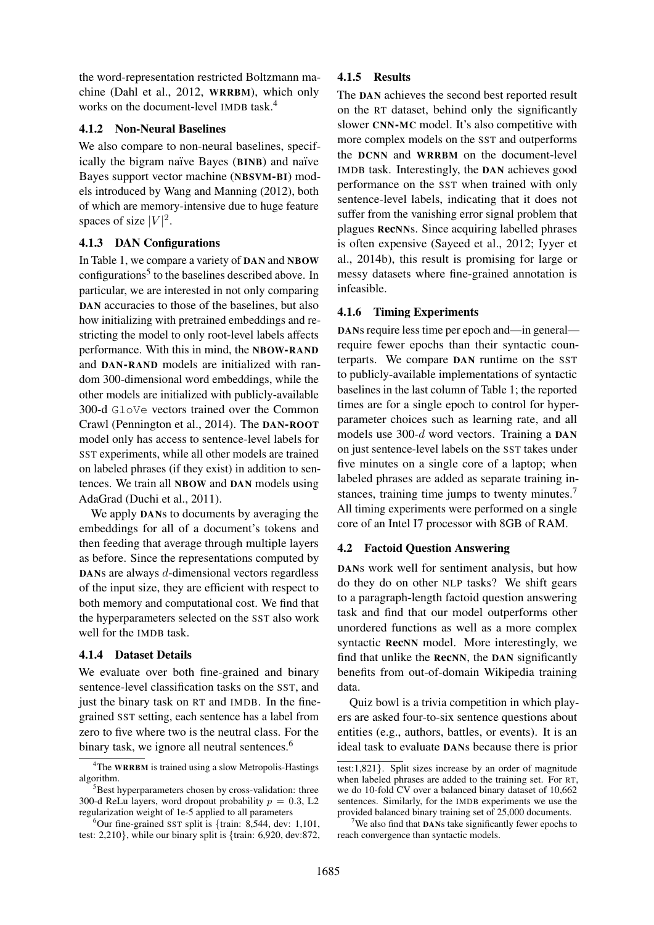the word-representation restricted Boltzmann machine (Dahl et al., 2012, WRRBM), which only works on the document-level IMDB task.<sup>4</sup>

### 4.1.2 Non-Neural Baselines

We also compare to non-neural baselines, specifically the bigram naïve Bayes (BINB) and naïve Bayes support vector machine (NBSVM-BI) models introduced by Wang and Manning (2012), both of which are memory-intensive due to huge feature spaces of size  $|V|^2$ .

## 4.1.3 DAN Configurations

In Table 1, we compare a variety of DAN and NBOW configurations<sup>5</sup> to the baselines described above. In particular, we are interested in not only comparing DAN accuracies to those of the baselines, but also how initializing with pretrained embeddings and restricting the model to only root-level labels affects performance. With this in mind, the NBOW-RAND and DAN-RAND models are initialized with random 300-dimensional word embeddings, while the other models are initialized with publicly-available 300-d GloVe vectors trained over the Common Crawl (Pennington et al., 2014). The DAN-ROOT model only has access to sentence-level labels for SST experiments, while all other models are trained on labeled phrases (if they exist) in addition to sentences. We train all NBOW and DAN models using AdaGrad (Duchi et al., 2011).

We apply **DANs** to documents by averaging the embeddings for all of a document's tokens and then feeding that average through multiple layers as before. Since the representations computed by DANs are always d-dimensional vectors regardless of the input size, they are efficient with respect to both memory and computational cost. We find that the hyperparameters selected on the SST also work well for the IMDB task.

## 4.1.4 Dataset Details

We evaluate over both fine-grained and binary sentence-level classification tasks on the SST, and just the binary task on RT and IMDB. In the finegrained SST setting, each sentence has a label from zero to five where two is the neutral class. For the binary task, we ignore all neutral sentences.<sup>6</sup>

## 4.1.5 Results

The DAN achieves the second best reported result on the RT dataset, behind only the significantly slower CNN-MC model. It's also competitive with more complex models on the SST and outperforms the DCNN and WRRBM on the document-level IMDB task. Interestingly, the DAN achieves good performance on the SST when trained with only sentence-level labels, indicating that it does not suffer from the vanishing error signal problem that plagues RecNNs. Since acquiring labelled phrases is often expensive (Sayeed et al., 2012; Iyyer et al., 2014b), this result is promising for large or messy datasets where fine-grained annotation is infeasible.

## 4.1.6 Timing Experiments

DANs require less time per epoch and—in general require fewer epochs than their syntactic counterparts. We compare DAN runtime on the SST to publicly-available implementations of syntactic baselines in the last column of Table 1; the reported times are for a single epoch to control for hyperparameter choices such as learning rate, and all models use 300-d word vectors. Training a DAN on just sentence-level labels on the SST takes under five minutes on a single core of a laptop; when labeled phrases are added as separate training instances, training time jumps to twenty minutes.<sup>7</sup> All timing experiments were performed on a single core of an Intel I7 processor with 8GB of RAM.

## 4.2 Factoid Question Answering

DANs work well for sentiment analysis, but how do they do on other NLP tasks? We shift gears to a paragraph-length factoid question answering task and find that our model outperforms other unordered functions as well as a more complex syntactic RecNN model. More interestingly, we find that unlike the RecNN, the DAN significantly benefits from out-of-domain Wikipedia training data.

Quiz bowl is a trivia competition in which players are asked four-to-six sentence questions about entities (e.g., authors, battles, or events). It is an ideal task to evaluate DANs because there is prior

<sup>4</sup>The WRRBM is trained using a slow Metropolis-Hastings algorithm.

 $5$ Best hyperparameters chosen by cross-validation: three 300-d ReLu layers, word dropout probability  $p = 0.3$ , L2 regularization weight of 1e-5 applied to all parameters

 $6$ Our fine-grained SST split is {train: 8,544, dev: 1,101, test: 2,210}, while our binary split is {train: 6,920, dev:872,

test:1,821}. Split sizes increase by an order of magnitude when labeled phrases are added to the training set. For RT, we do 10-fold CV over a balanced binary dataset of 10,662 sentences. Similarly, for the IMDB experiments we use the provided balanced binary training set of 25,000 documents.

<sup>&</sup>lt;sup>7</sup>We also find that **DANs** take significantly fewer epochs to reach convergence than syntactic models.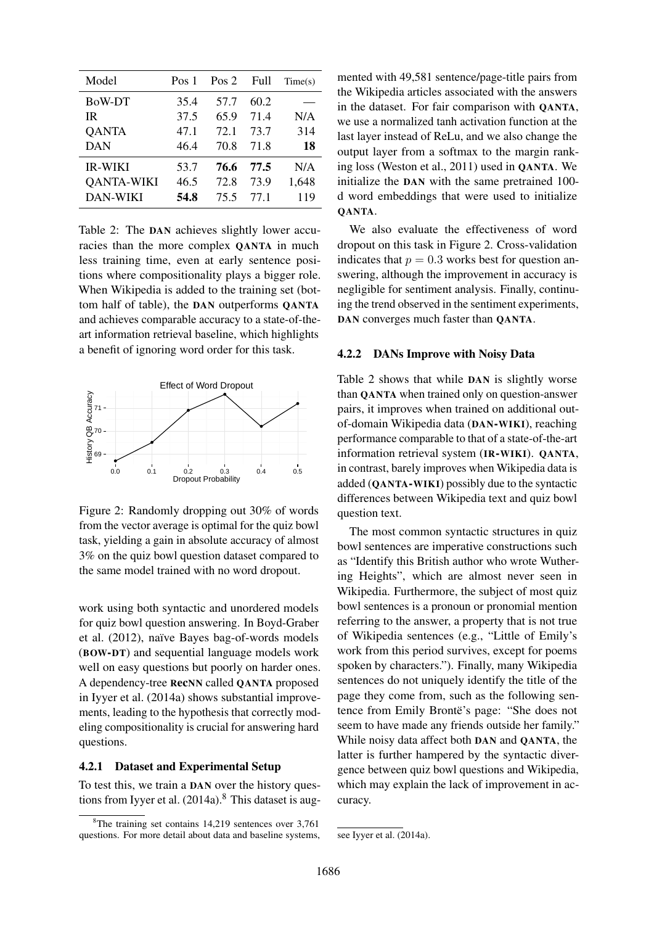| Model             | Pos 1 | Pos 2 | Full | Time(s) |
|-------------------|-------|-------|------|---------|
| BoW-DT            | 35.4  | 57.7  | 60.2 |         |
| IR.               | 37.5  | 65.9  | 71.4 | N/A     |
| <b>QANTA</b>      | 47.1  | 72.1  | 73.7 | 314     |
| <b>DAN</b>        | 46.4  | 70.8  | 71.8 | 18      |
| <b>IR-WIKI</b>    | 53.7  | 76.6  | 77.5 | N/A     |
| <b>QANTA-WIKI</b> | 46.5  | 72.8  | 73.9 | 1,648   |
| <b>DAN-WIKI</b>   | 54.8  | 75.5  | 77 1 | 119     |

Table 2: The DAN achieves slightly lower accuracies than the more complex QANTA in much less training time, even at early sentence positions where compositionality plays a bigger role. When Wikipedia is added to the training set (bottom half of table), the DAN outperforms QANTA and achieves comparable accuracy to a state-of-theart information retrieval baseline, which highlights a benefit of ignoring word order for this task.



Figure 2: Randomly dropping out 30% of words from the vector average is optimal for the quiz bowl task, yielding a gain in absolute accuracy of almost 3% on the quiz bowl question dataset compared to the same model trained with no word dropout.

work using both syntactic and unordered models for quiz bowl question answering. In Boyd-Graber et al. (2012), naïve Bayes bag-of-words models (BOW-DT) and sequential language models work well on easy questions but poorly on harder ones. A dependency-tree RecNN called QANTA proposed in Iyyer et al. (2014a) shows substantial improvements, leading to the hypothesis that correctly modeling compositionality is crucial for answering hard questions.

#### 4.2.1 Dataset and Experimental Setup

To test this, we train a DAN over the history questions from Iyyer et al.  $(2014a)$ .<sup>8</sup> This dataset is augmented with 49,581 sentence/page-title pairs from the Wikipedia articles associated with the answers in the dataset. For fair comparison with QANTA, we use a normalized tanh activation function at the last layer instead of ReLu, and we also change the output layer from a softmax to the margin ranking loss (Weston et al., 2011) used in QANTA. We initialize the DAN with the same pretrained 100 d word embeddings that were used to initialize QANTA.

We also evaluate the effectiveness of word dropout on this task in Figure 2. Cross-validation indicates that  $p = 0.3$  works best for question answering, although the improvement in accuracy is negligible for sentiment analysis. Finally, continuing the trend observed in the sentiment experiments, DAN converges much faster than QANTA.

#### 4.2.2 DANs Improve with Noisy Data

Table 2 shows that while DAN is slightly worse than QANTA when trained only on question-answer pairs, it improves when trained on additional outof-domain Wikipedia data (DAN-WIKI), reaching performance comparable to that of a state-of-the-art information retrieval system (IR-WIKI). QANTA, in contrast, barely improves when Wikipedia data is added (QANTA-WIKI) possibly due to the syntactic differences between Wikipedia text and quiz bowl question text.

The most common syntactic structures in quiz bowl sentences are imperative constructions such as "Identify this British author who wrote Wuthering Heights", which are almost never seen in Wikipedia. Furthermore, the subject of most quiz bowl sentences is a pronoun or pronomial mention referring to the answer, a property that is not true of Wikipedia sentences (e.g., "Little of Emily's work from this period survives, except for poems spoken by characters."). Finally, many Wikipedia sentences do not uniquely identify the title of the page they come from, such as the following sentence from Emily Brontë's page: "She does not seem to have made any friends outside her family." While noisy data affect both DAN and QANTA, the latter is further hampered by the syntactic divergence between quiz bowl questions and Wikipedia, which may explain the lack of improvement in accuracy.

<sup>&</sup>lt;sup>8</sup>The training set contains 14,219 sentences over 3.761 questions. For more detail about data and baseline systems,

see Iyyer et al. (2014a).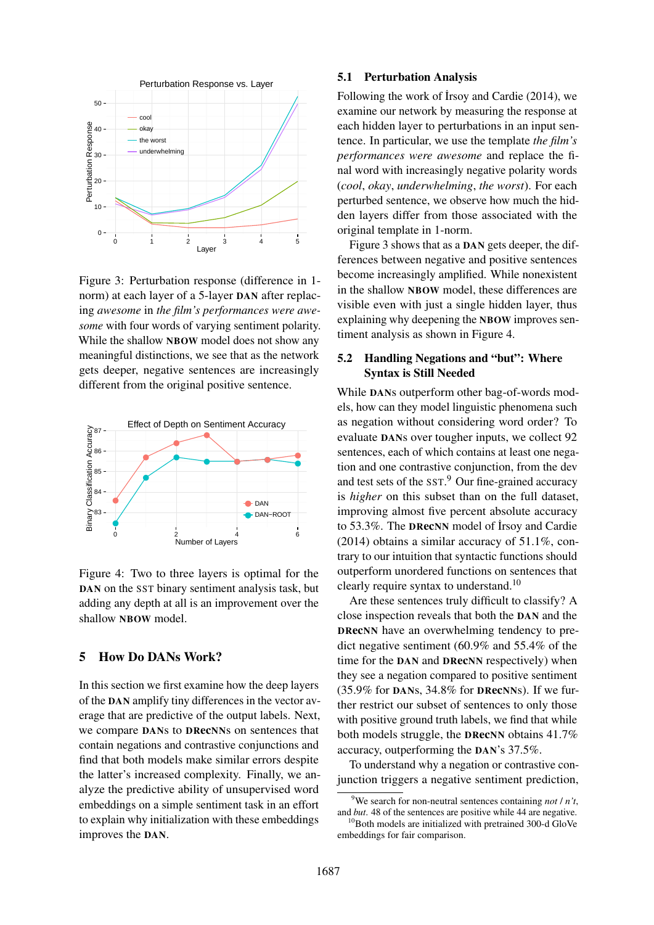

Figure 3: Perturbation response (difference in 1 norm) at each layer of a 5-layer DAN after replacing *awesome* in *the film's performances were awesome* with four words of varying sentiment polarity. While the shallow NBOW model does not show any meaningful distinctions, we see that as the network gets deeper, negative sentences are increasingly different from the original positive sentence.



Figure 4: Two to three layers is optimal for the DAN on the SST binary sentiment analysis task, but adding any depth at all is an improvement over the shallow NBOW model.

## 5 How Do DANs Work?

In this section we first examine how the deep layers of the DAN amplify tiny differences in the vector average that are predictive of the output labels. Next, we compare DANs to DRecNNs on sentences that contain negations and contrastive conjunctions and find that both models make similar errors despite the latter's increased complexity. Finally, we analyze the predictive ability of unsupervised word embeddings on a simple sentiment task in an effort to explain why initialization with these embeddings improves the DAN.

### 5.1 Perturbation Analysis

Following the work of Irsoy and Cardie (2014), we examine our network by measuring the response at each hidden layer to perturbations in an input sentence. In particular, we use the template *the film's performances were awesome* and replace the final word with increasingly negative polarity words (*cool*, *okay*, *underwhelming*, *the worst*). For each perturbed sentence, we observe how much the hidden layers differ from those associated with the original template in 1-norm.

Figure 3 shows that as a DAN gets deeper, the differences between negative and positive sentences become increasingly amplified. While nonexistent in the shallow NBOW model, these differences are visible even with just a single hidden layer, thus explaining why deepening the NBOW improves sentiment analysis as shown in Figure 4.

# 5.2 Handling Negations and "but": Where Syntax is Still Needed

While DANs outperform other bag-of-words models, how can they model linguistic phenomena such as negation without considering word order? To evaluate DANs over tougher inputs, we collect 92 sentences, each of which contains at least one negation and one contrastive conjunction, from the dev and test sets of the SST. <sup>9</sup> Our fine-grained accuracy is *higher* on this subset than on the full dataset, improving almost five percent absolute accuracy to 53.3%. The DRecNN model of Irsoy and Cardie (2014) obtains a similar accuracy of 51.1%, contrary to our intuition that syntactic functions should outperform unordered functions on sentences that clearly require syntax to understand.<sup>10</sup>

Are these sentences truly difficult to classify? A close inspection reveals that both the DAN and the DRecNN have an overwhelming tendency to predict negative sentiment (60.9% and 55.4% of the time for the DAN and DRecNN respectively) when they see a negation compared to positive sentiment  $(35.9\%$  for DANs,  $34.8\%$  for DRecNNs). If we further restrict our subset of sentences to only those with positive ground truth labels, we find that while both models struggle, the DRecNN obtains 41.7% accuracy, outperforming the DAN's 37.5%.

To understand why a negation or contrastive conjunction triggers a negative sentiment prediction,

<sup>&</sup>lt;sup>9</sup>We search for non-neutral sentences containing *not*  $/ n<sup>2</sup>t$ , and *but*. 48 of the sentences are positive while 44 are negative.

 $10B$ oth models are initialized with pretrained 300-d GloVe embeddings for fair comparison.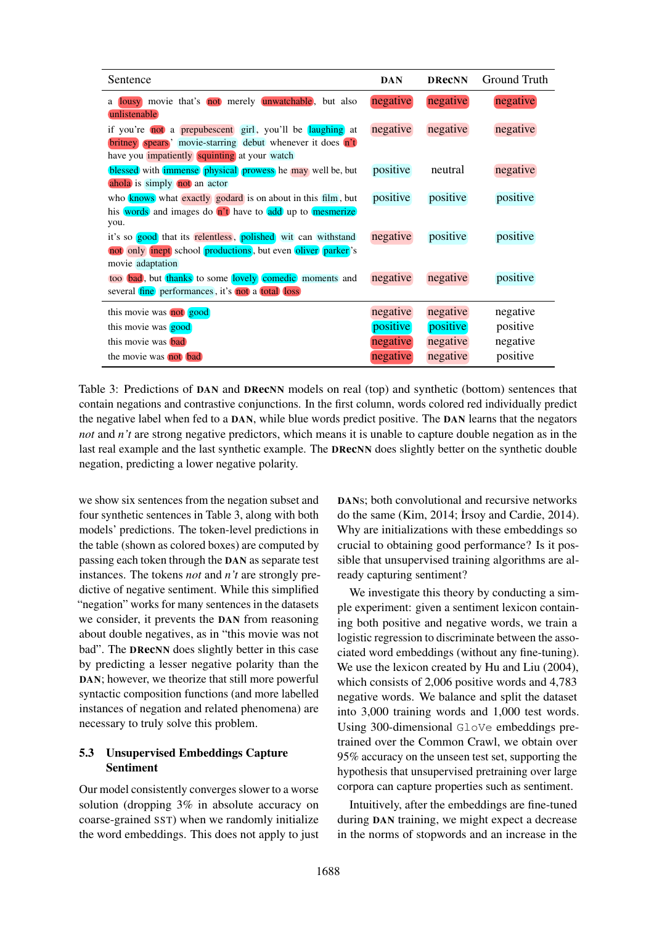| Sentence                                                                                                                                                                            | <b>DAN</b> | <b>DReCNN</b> | Ground Truth |
|-------------------------------------------------------------------------------------------------------------------------------------------------------------------------------------|------------|---------------|--------------|
| a lousy movie that's not merely unwatchable, but also<br>unlistenable                                                                                                               | negative   | negative      | negative     |
| if you're not a prepubescent girl, you'll be laughing at<br><b>britney</b> spears' movie-starring debut whenever it does n't<br>have you <i>impatiently</i> squinting at your watch | negative   | negative      | negative     |
| blessed with <i>immense</i> physical prowess he may well be, but<br>ahola is simply not an actor                                                                                    | positive   | neutral       | negative     |
| who <b>knows</b> what <b>exactly</b> godard is on about in this film, but<br>his words and images do n't have to add up to mesmerize<br>you.                                        | positive   | positive      | positive     |
| it's so good that its relentless, polished wit can withstand<br>not only inept school productions, but even oliver parker's<br>movie adaptation                                     | negative   | positive      | positive     |
| too bad, but thanks to some lovely comedic moments and<br>several fine performances, it's not a total loss                                                                          | negative   | negative      | positive     |
| this movie was not good                                                                                                                                                             | negative   | negative      | negative     |
| this movie was good                                                                                                                                                                 | positive   | positive      | positive     |
| this movie was <b>bad</b>                                                                                                                                                           | negative   | negative      | negative     |
| the movie was not bad                                                                                                                                                               | negative   | negative      | positive     |

Table 3: Predictions of DAN and DRecNN models on real (top) and synthetic (bottom) sentences that contain negations and contrastive conjunctions. In the first column, words colored red individually predict the negative label when fed to a DAN, while blue words predict positive. The DAN learns that the negators *not* and *n't* are strong negative predictors, which means it is unable to capture double negation as in the last real example and the last synthetic example. The **DRecNN** does slightly better on the synthetic double negation, predicting a lower negative polarity.

we show six sentences from the negation subset and four synthetic sentences in Table 3, along with both models' predictions. The token-level predictions in the table (shown as colored boxes) are computed by passing each token through the DAN as separate test instances. The tokens *not* and *n't* are strongly predictive of negative sentiment. While this simplified "negation" works for many sentences in the datasets we consider, it prevents the DAN from reasoning about double negatives, as in "this movie was not bad". The DRecNN does slightly better in this case by predicting a lesser negative polarity than the DAN; however, we theorize that still more powerful syntactic composition functions (and more labelled instances of negation and related phenomena) are necessary to truly solve this problem.

# 5.3 Unsupervised Embeddings Capture Sentiment

Our model consistently converges slower to a worse solution (dropping 3% in absolute accuracy on coarse-grained SST) when we randomly initialize the word embeddings. This does not apply to just DANs; both convolutional and recursive networks do the same (Kim, 2014; Irsoy and Cardie, 2014). Why are initializations with these embeddings so crucial to obtaining good performance? Is it possible that unsupervised training algorithms are already capturing sentiment?

We investigate this theory by conducting a simple experiment: given a sentiment lexicon containing both positive and negative words, we train a logistic regression to discriminate between the associated word embeddings (without any fine-tuning). We use the lexicon created by Hu and Liu (2004), which consists of 2,006 positive words and 4,783 negative words. We balance and split the dataset into 3,000 training words and 1,000 test words. Using 300-dimensional GloVe embeddings pretrained over the Common Crawl, we obtain over 95% accuracy on the unseen test set, supporting the hypothesis that unsupervised pretraining over large corpora can capture properties such as sentiment.

Intuitively, after the embeddings are fine-tuned during DAN training, we might expect a decrease in the norms of stopwords and an increase in the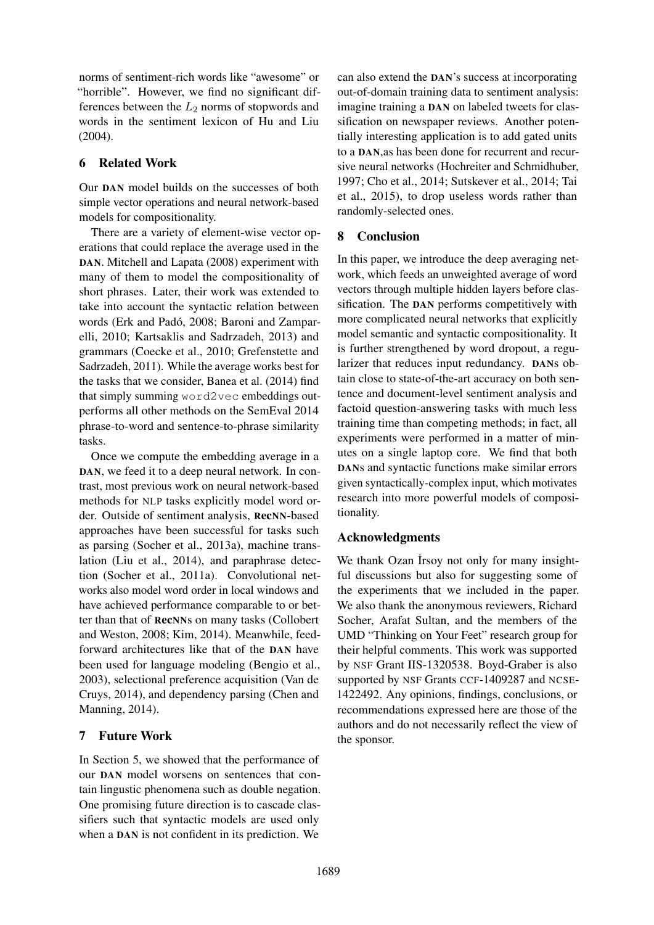norms of sentiment-rich words like "awesome" or "horrible". However, we find no significant differences between the  $L_2$  norms of stopwords and words in the sentiment lexicon of Hu and Liu (2004).

# 6 Related Work

Our DAN model builds on the successes of both simple vector operations and neural network-based models for compositionality.

There are a variety of element-wise vector operations that could replace the average used in the DAN. Mitchell and Lapata (2008) experiment with many of them to model the compositionality of short phrases. Later, their work was extended to take into account the syntactic relation between words (Erk and Padó, 2008; Baroni and Zamparelli, 2010; Kartsaklis and Sadrzadeh, 2013) and grammars (Coecke et al., 2010; Grefenstette and Sadrzadeh, 2011). While the average works best for the tasks that we consider, Banea et al. (2014) find that simply summing word2vec embeddings outperforms all other methods on the SemEval 2014 phrase-to-word and sentence-to-phrase similarity tasks.

Once we compute the embedding average in a DAN, we feed it to a deep neural network. In contrast, most previous work on neural network-based methods for NLP tasks explicitly model word order. Outside of sentiment analysis, RecNN-based approaches have been successful for tasks such as parsing (Socher et al., 2013a), machine translation (Liu et al., 2014), and paraphrase detection (Socher et al., 2011a). Convolutional networks also model word order in local windows and have achieved performance comparable to or better than that of RecNNs on many tasks (Collobert and Weston, 2008; Kim, 2014). Meanwhile, feedforward architectures like that of the DAN have been used for language modeling (Bengio et al., 2003), selectional preference acquisition (Van de Cruys, 2014), and dependency parsing (Chen and Manning, 2014).

# 7 Future Work

In Section 5, we showed that the performance of our DAN model worsens on sentences that contain lingustic phenomena such as double negation. One promising future direction is to cascade classifiers such that syntactic models are used only when a DAN is not confident in its prediction. We

can also extend the DAN's success at incorporating out-of-domain training data to sentiment analysis: imagine training a DAN on labeled tweets for classification on newspaper reviews. Another potentially interesting application is to add gated units to a DAN,as has been done for recurrent and recursive neural networks (Hochreiter and Schmidhuber, 1997; Cho et al., 2014; Sutskever et al., 2014; Tai et al., 2015), to drop useless words rather than randomly-selected ones.

# 8 Conclusion

In this paper, we introduce the deep averaging network, which feeds an unweighted average of word vectors through multiple hidden layers before classification. The DAN performs competitively with more complicated neural networks that explicitly model semantic and syntactic compositionality. It is further strengthened by word dropout, a regularizer that reduces input redundancy. DANs obtain close to state-of-the-art accuracy on both sentence and document-level sentiment analysis and factoid question-answering tasks with much less training time than competing methods; in fact, all experiments were performed in a matter of minutes on a single laptop core. We find that both DANs and syntactic functions make similar errors given syntactically-complex input, which motivates research into more powerful models of compositionality.

# Acknowledgments

We thank Ozan Irsoy not only for many insightful discussions but also for suggesting some of the experiments that we included in the paper. We also thank the anonymous reviewers, Richard Socher, Arafat Sultan, and the members of the UMD "Thinking on Your Feet" research group for their helpful comments. This work was supported by NSF Grant IIS-1320538. Boyd-Graber is also supported by NSF Grants CCF-1409287 and NCSE-1422492. Any opinions, findings, conclusions, or recommendations expressed here are those of the authors and do not necessarily reflect the view of the sponsor.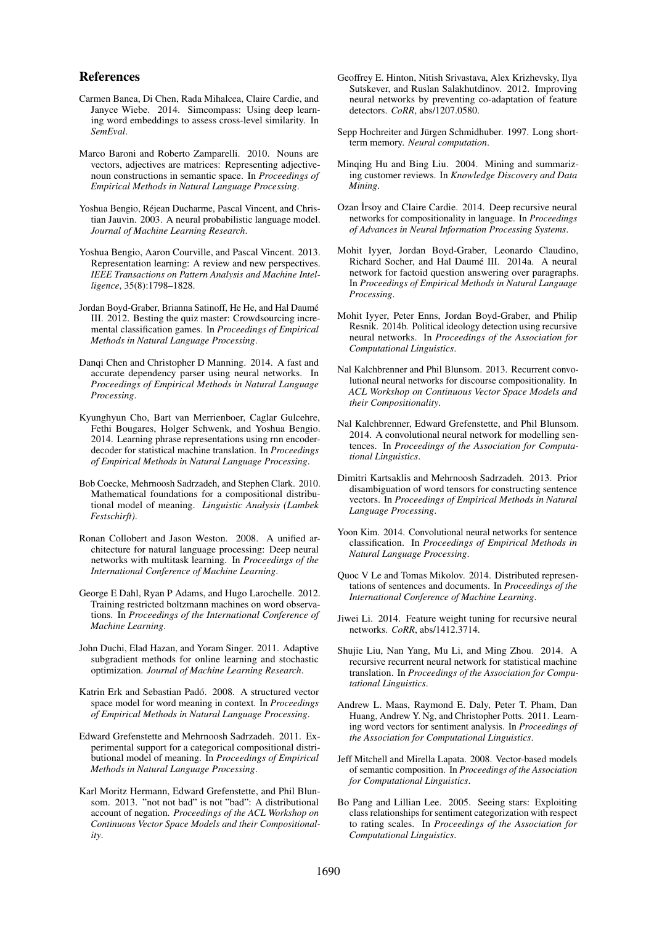#### References

- Carmen Banea, Di Chen, Rada Mihalcea, Claire Cardie, and Janyce Wiebe. 2014. Simcompass: Using deep learning word embeddings to assess cross-level similarity. In *SemEval*.
- Marco Baroni and Roberto Zamparelli. 2010. Nouns are vectors, adjectives are matrices: Representing adjectivenoun constructions in semantic space. In *Proceedings of Empirical Methods in Natural Language Processing*.
- Yoshua Bengio, Rejean Ducharme, Pascal Vincent, and Chris- ´ tian Jauvin. 2003. A neural probabilistic language model. *Journal of Machine Learning Research*.
- Yoshua Bengio, Aaron Courville, and Pascal Vincent. 2013. Representation learning: A review and new perspectives. *IEEE Transactions on Pattern Analysis and Machine Intelligence*, 35(8):1798–1828.
- Jordan Boyd-Graber, Brianna Satinoff, He He, and Hal Daume´ III. 2012. Besting the quiz master: Crowdsourcing incremental classification games. In *Proceedings of Empirical Methods in Natural Language Processing*.
- Danqi Chen and Christopher D Manning. 2014. A fast and accurate dependency parser using neural networks. In *Proceedings of Empirical Methods in Natural Language Processing*.
- Kyunghyun Cho, Bart van Merrienboer, Caglar Gulcehre, Fethi Bougares, Holger Schwenk, and Yoshua Bengio. 2014. Learning phrase representations using rnn encoderdecoder for statistical machine translation. In *Proceedings of Empirical Methods in Natural Language Processing*.
- Bob Coecke, Mehrnoosh Sadrzadeh, and Stephen Clark. 2010. Mathematical foundations for a compositional distributional model of meaning. *Linguistic Analysis (Lambek Festschirft)*.
- Ronan Collobert and Jason Weston. 2008. A unified architecture for natural language processing: Deep neural networks with multitask learning. In *Proceedings of the International Conference of Machine Learning*.
- George E Dahl, Ryan P Adams, and Hugo Larochelle. 2012. Training restricted boltzmann machines on word observations. In *Proceedings of the International Conference of Machine Learning*.
- John Duchi, Elad Hazan, and Yoram Singer. 2011. Adaptive subgradient methods for online learning and stochastic optimization. *Journal of Machine Learning Research*.
- Katrin Erk and Sebastian Padó. 2008. A structured vector space model for word meaning in context. In *Proceedings of Empirical Methods in Natural Language Processing*.
- Edward Grefenstette and Mehrnoosh Sadrzadeh. 2011. Experimental support for a categorical compositional distributional model of meaning. In *Proceedings of Empirical Methods in Natural Language Processing*.
- Karl Moritz Hermann, Edward Grefenstette, and Phil Blunsom. 2013. "not not bad" is not "bad": A distributional account of negation. *Proceedings of the ACL Workshop on Continuous Vector Space Models and their Compositionality*.
- Geoffrey E. Hinton, Nitish Srivastava, Alex Krizhevsky, Ilya Sutskever, and Ruslan Salakhutdinov. 2012. Improving neural networks by preventing co-adaptation of feature detectors. *CoRR*, abs/1207.0580.
- Sepp Hochreiter and Jürgen Schmidhuber. 1997. Long shortterm memory. *Neural computation*.
- Minqing Hu and Bing Liu. 2004. Mining and summarizing customer reviews. In *Knowledge Discovery and Data Mining*.
- Ozan İrsoy and Claire Cardie. 2014. Deep recursive neural networks for compositionality in language. In *Proceedings of Advances in Neural Information Processing Systems*.
- Mohit Iyyer, Jordan Boyd-Graber, Leonardo Claudino, Richard Socher, and Hal Daumé III. 2014a. A neural network for factoid question answering over paragraphs. In *Proceedings of Empirical Methods in Natural Language Processing*.
- Mohit Iyyer, Peter Enns, Jordan Boyd-Graber, and Philip Resnik. 2014b. Political ideology detection using recursive neural networks. In *Proceedings of the Association for Computational Linguistics*.
- Nal Kalchbrenner and Phil Blunsom. 2013. Recurrent convolutional neural networks for discourse compositionality. In *ACL Workshop on Continuous Vector Space Models and their Compositionality*.
- Nal Kalchbrenner, Edward Grefenstette, and Phil Blunsom. 2014. A convolutional neural network for modelling sentences. In *Proceedings of the Association for Computational Linguistics*.
- Dimitri Kartsaklis and Mehrnoosh Sadrzadeh. 2013. Prior disambiguation of word tensors for constructing sentence vectors. In *Proceedings of Empirical Methods in Natural Language Processing*.
- Yoon Kim. 2014. Convolutional neural networks for sentence classification. In *Proceedings of Empirical Methods in Natural Language Processing*.
- Quoc V Le and Tomas Mikolov. 2014. Distributed representations of sentences and documents. In *Proceedings of the International Conference of Machine Learning*.
- Jiwei Li. 2014. Feature weight tuning for recursive neural networks. *CoRR*, abs/1412.3714.
- Shujie Liu, Nan Yang, Mu Li, and Ming Zhou. 2014. A recursive recurrent neural network for statistical machine translation. In *Proceedings of the Association for Computational Linguistics*.
- Andrew L. Maas, Raymond E. Daly, Peter T. Pham, Dan Huang, Andrew Y. Ng, and Christopher Potts. 2011. Learning word vectors for sentiment analysis. In *Proceedings of the Association for Computational Linguistics*.
- Jeff Mitchell and Mirella Lapata. 2008. Vector-based models of semantic composition. In *Proceedings of the Association for Computational Linguistics*.
- Bo Pang and Lillian Lee. 2005. Seeing stars: Exploiting class relationships for sentiment categorization with respect to rating scales. In *Proceedings of the Association for Computational Linguistics*.